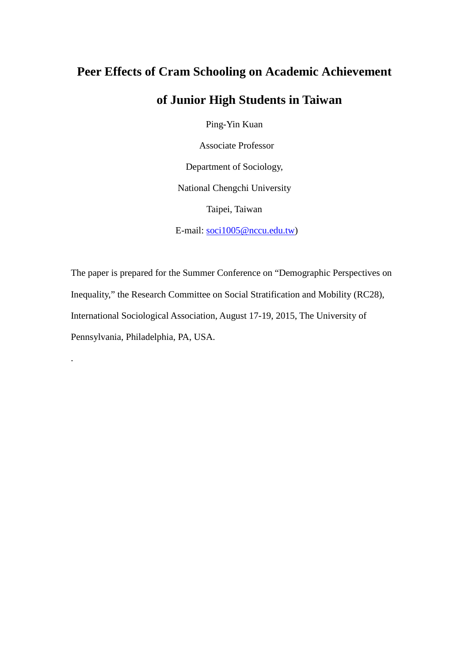# **Peer Effects of Cram Schooling on Academic Achievement**

# **of Junior High Students in Taiwan**

Ping-Yin Kuan

Associate Professor

Department of Sociology,

National Chengchi University

Taipei, Taiwan

E-mail: [soci1005@nccu.edu.tw\)](mailto:soci1005@nccu.edu.tw)

The paper is prepared for the Summer Conference on "Demographic Perspectives on Inequality," the Research Committee on Social Stratification and Mobility (RC28), International Sociological Association, August 17-19, 2015, The University of Pennsylvania, Philadelphia, PA, USA.

.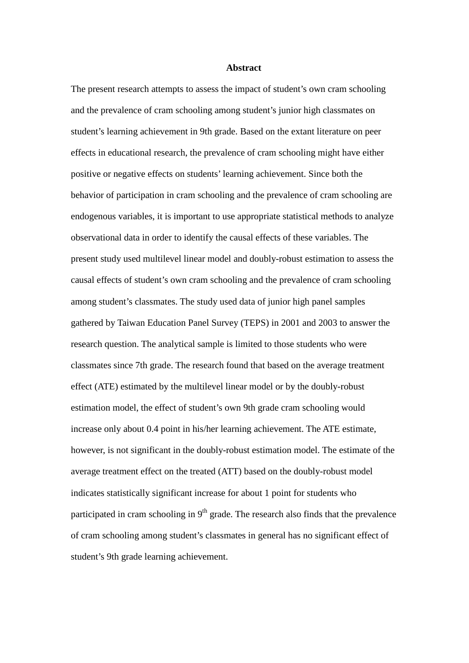#### **Abstract**

The present research attempts to assess the impact of student's own cram schooling and the prevalence of cram schooling among student's junior high classmates on student's learning achievement in 9th grade. Based on the extant literature on peer effects in educational research, the prevalence of cram schooling might have either positive or negative effects on students' learning achievement. Since both the behavior of participation in cram schooling and the prevalence of cram schooling are endogenous variables, it is important to use appropriate statistical methods to analyze observational data in order to identify the causal effects of these variables. The present study used multilevel linear model and doubly-robust estimation to assess the causal effects of student's own cram schooling and the prevalence of cram schooling among student's classmates. The study used data of junior high panel samples gathered by Taiwan Education Panel Survey (TEPS) in 2001 and 2003 to answer the research question. The analytical sample is limited to those students who were classmates since 7th grade. The research found that based on the average treatment effect (ATE) estimated by the multilevel linear model or by the doubly-robust estimation model, the effect of student's own 9th grade cram schooling would increase only about 0.4 point in his/her learning achievement. The ATE estimate, however, is not significant in the doubly-robust estimation model. The estimate of the average treatment effect on the treated (ATT) based on the doubly-robust model indicates statistically significant increase for about 1 point for students who participated in cram schooling in  $9<sup>th</sup>$  grade. The research also finds that the prevalence of cram schooling among student's classmates in general has no significant effect of student's 9th grade learning achievement.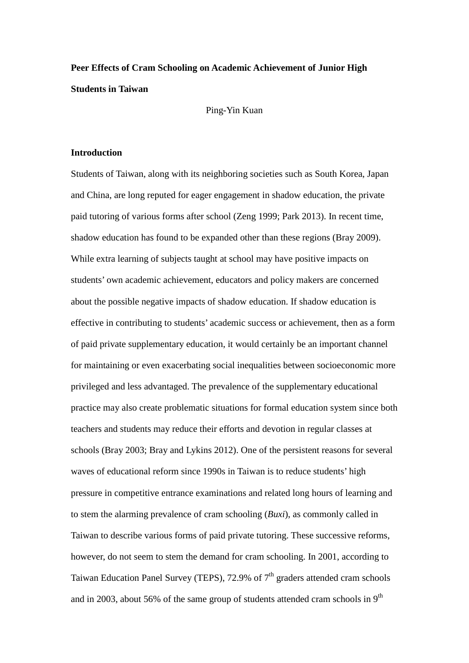# **Peer Effects of Cram Schooling on Academic Achievement of Junior High Students in Taiwan**

Ping-Yin Kuan

# **Introduction**

Students of Taiwan, along with its neighboring societies such as South Korea, Japan and China, are long reputed for eager engagement in shadow education, the private paid tutoring of various forms after school (Zeng 1999; Park 2013). In recent time, shadow education has found to be expanded other than these regions (Bray 2009). While extra learning of subjects taught at school may have positive impacts on students' own academic achievement, educators and policy makers are concerned about the possible negative impacts of shadow education. If shadow education is effective in contributing to students' academic success or achievement, then as a form of paid private supplementary education, it would certainly be an important channel for maintaining or even exacerbating social inequalities between socioeconomic more privileged and less advantaged. The prevalence of the supplementary educational practice may also create problematic situations for formal education system since both teachers and students may reduce their efforts and devotion in regular classes at schools (Bray 2003; Bray and Lykins 2012). One of the persistent reasons for several waves of educational reform since 1990s in Taiwan is to reduce students' high pressure in competitive entrance examinations and related long hours of learning and to stem the alarming prevalence of cram schooling (*Buxi*), as commonly called in Taiwan to describe various forms of paid private tutoring. These successive reforms, however, do not seem to stem the demand for cram schooling. In 2001, according to Taiwan Education Panel Survey (TEPS), 72.9% of  $7<sup>th</sup>$  graders attended cram schools and in 2003, about 56% of the same group of students attended cram schools in  $9<sup>th</sup>$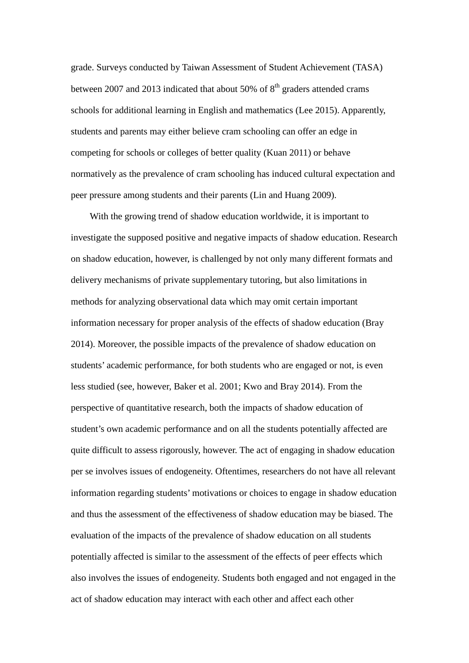grade. Surveys conducted by Taiwan Assessment of Student Achievement (TASA) between 2007 and 2013 indicated that about 50% of  $8<sup>th</sup>$  graders attended crams schools for additional learning in English and mathematics (Lee 2015). Apparently, students and parents may either believe cram schooling can offer an edge in competing for schools or colleges of better quality (Kuan 2011) or behave normatively as the prevalence of cram schooling has induced cultural expectation and peer pressure among students and their parents (Lin and Huang 2009).

With the growing trend of shadow education worldwide, it is important to investigate the supposed positive and negative impacts of shadow education. Research on shadow education, however, is challenged by not only many different formats and delivery mechanisms of private supplementary tutoring, but also limitations in methods for analyzing observational data which may omit certain important information necessary for proper analysis of the effects of shadow education (Bray 2014). Moreover, the possible impacts of the prevalence of shadow education on students' academic performance, for both students who are engaged or not, is even less studied (see, however, Baker et al. 2001; Kwo and Bray 2014). From the perspective of quantitative research, both the impacts of shadow education of student's own academic performance and on all the students potentially affected are quite difficult to assess rigorously, however. The act of engaging in shadow education per se involves issues of endogeneity. Oftentimes, researchers do not have all relevant information regarding students' motivations or choices to engage in shadow education and thus the assessment of the effectiveness of shadow education may be biased. The evaluation of the impacts of the prevalence of shadow education on all students potentially affected is similar to the assessment of the effects of peer effects which also involves the issues of endogeneity. Students both engaged and not engaged in the act of shadow education may interact with each other and affect each other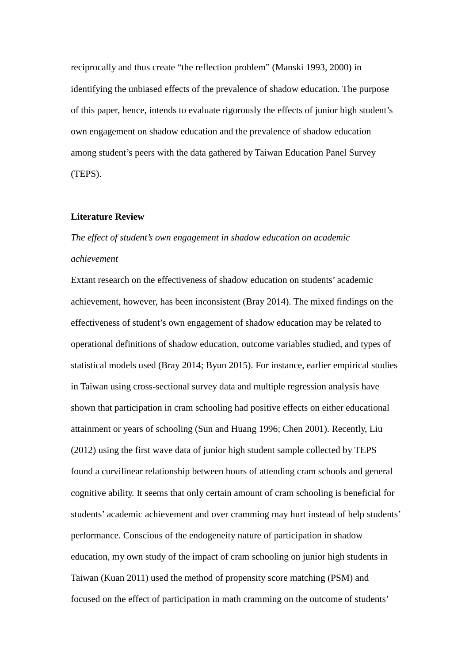reciprocally and thus create "the reflection problem" (Manski 1993, 2000) in identifying the unbiased effects of the prevalence of shadow education. The purpose of this paper, hence, intends to evaluate rigorously the effects of junior high student's own engagement on shadow education and the prevalence of shadow education among student's peers with the data gathered by Taiwan Education Panel Survey (TEPS).

#### **Literature Review**

# *The effect of student's own engagement in shadow education on academic achievement*

Extant research on the effectiveness of shadow education on students' academic achievement, however, has been inconsistent (Bray 2014). The mixed findings on the effectiveness of student's own engagement of shadow education may be related to operational definitions of shadow education, outcome variables studied, and types of statistical models used (Bray 2014; Byun 2015). For instance, earlier empirical studies in Taiwan using cross-sectional survey data and multiple regression analysis have shown that participation in cram schooling had positive effects on either educational attainment or years of schooling (Sun and Huang 1996; Chen 2001). Recently, Liu (2012) using the first wave data of junior high student sample collected by TEPS found a curvilinear relationship between hours of attending cram schools and general cognitive ability. It seems that only certain amount of cram schooling is beneficial for students' academic achievement and over cramming may hurt instead of help students' performance. Conscious of the endogeneity nature of participation in shadow education, my own study of the impact of cram schooling on junior high students in Taiwan (Kuan 2011) used the method of propensity score matching (PSM) and focused on the effect of participation in math cramming on the outcome of students'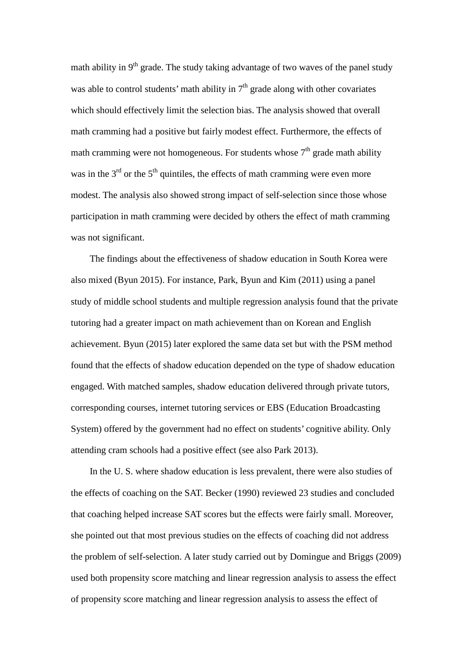math ability in  $9<sup>th</sup>$  grade. The study taking advantage of two waves of the panel study was able to control students' math ability in  $7<sup>th</sup>$  grade along with other covariates which should effectively limit the selection bias. The analysis showed that overall math cramming had a positive but fairly modest effect. Furthermore, the effects of math cramming were not homogeneous. For students whose  $7<sup>th</sup>$  grade math ability was in the  $3<sup>rd</sup>$  or the  $5<sup>th</sup>$  quintiles, the effects of math cramming were even more modest. The analysis also showed strong impact of self-selection since those whose participation in math cramming were decided by others the effect of math cramming was not significant.

The findings about the effectiveness of shadow education in South Korea were also mixed (Byun 2015). For instance, Park, Byun and Kim (2011) using a panel study of middle school students and multiple regression analysis found that the private tutoring had a greater impact on math achievement than on Korean and English achievement. Byun (2015) later explored the same data set but with the PSM method found that the effects of shadow education depended on the type of shadow education engaged. With matched samples, shadow education delivered through private tutors, corresponding courses, internet tutoring services or EBS (Education Broadcasting System) offered by the government had no effect on students' cognitive ability. Only attending cram schools had a positive effect (see also Park 2013).

In the U. S. where shadow education is less prevalent, there were also studies of the effects of coaching on the SAT. Becker (1990) reviewed 23 studies and concluded that coaching helped increase SAT scores but the effects were fairly small. Moreover, she pointed out that most previous studies on the effects of coaching did not address the problem of self-selection. A later study carried out by Domingue and Briggs (2009) used both propensity score matching and linear regression analysis to assess the effect of propensity score matching and linear regression analysis to assess the effect of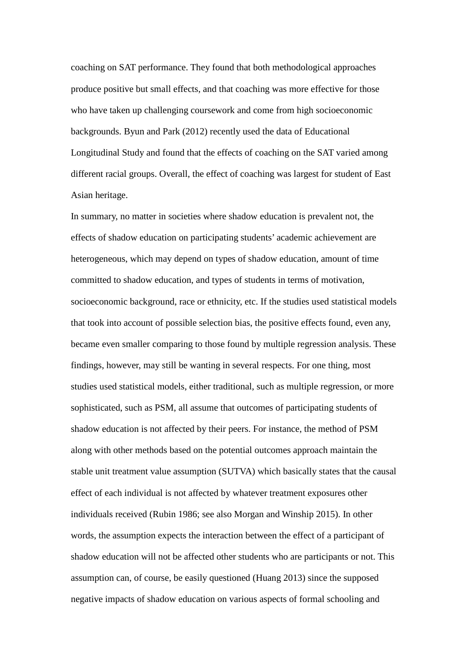coaching on SAT performance. They found that both methodological approaches produce positive but small effects, and that coaching was more effective for those who have taken up challenging coursework and come from high socioeconomic backgrounds. Byun and Park (2012) recently used the data of Educational Longitudinal Study and found that the effects of coaching on the SAT varied among different racial groups. Overall, the effect of coaching was largest for student of East Asian heritage.

In summary, no matter in societies where shadow education is prevalent not, the effects of shadow education on participating students' academic achievement are heterogeneous, which may depend on types of shadow education, amount of time committed to shadow education, and types of students in terms of motivation, socioeconomic background, race or ethnicity, etc. If the studies used statistical models that took into account of possible selection bias, the positive effects found, even any, became even smaller comparing to those found by multiple regression analysis. These findings, however, may still be wanting in several respects. For one thing, most studies used statistical models, either traditional, such as multiple regression, or more sophisticated, such as PSM, all assume that outcomes of participating students of shadow education is not affected by their peers. For instance, the method of PSM along with other methods based on the potential outcomes approach maintain the stable unit treatment value assumption (SUTVA) which basically states that the causal effect of each individual is not affected by whatever treatment exposures other individuals received (Rubin 1986; see also Morgan and Winship 2015). In other words, the assumption expects the interaction between the effect of a participant of shadow education will not be affected other students who are participants or not. This assumption can, of course, be easily questioned (Huang 2013) since the supposed negative impacts of shadow education on various aspects of formal schooling and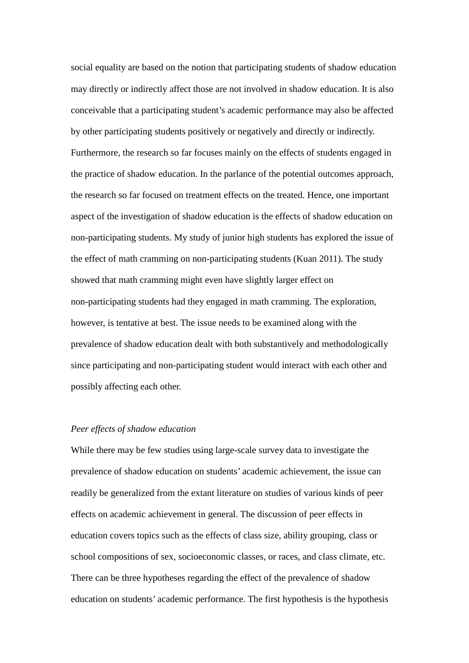social equality are based on the notion that participating students of shadow education may directly or indirectly affect those are not involved in shadow education. It is also conceivable that a participating student's academic performance may also be affected by other participating students positively or negatively and directly or indirectly. Furthermore, the research so far focuses mainly on the effects of students engaged in the practice of shadow education. In the parlance of the potential outcomes approach, the research so far focused on treatment effects on the treated. Hence, one important aspect of the investigation of shadow education is the effects of shadow education on non-participating students. My study of junior high students has explored the issue of the effect of math cramming on non-participating students (Kuan 2011). The study showed that math cramming might even have slightly larger effect on non-participating students had they engaged in math cramming. The exploration, however, is tentative at best. The issue needs to be examined along with the prevalence of shadow education dealt with both substantively and methodologically since participating and non-participating student would interact with each other and possibly affecting each other.

# *Peer effects of shadow education*

While there may be few studies using large-scale survey data to investigate the prevalence of shadow education on students' academic achievement, the issue can readily be generalized from the extant literature on studies of various kinds of peer effects on academic achievement in general. The discussion of peer effects in education covers topics such as the effects of class size, ability grouping, class or school compositions of sex, socioeconomic classes, or races, and class climate, etc. There can be three hypotheses regarding the effect of the prevalence of shadow education on students' academic performance. The first hypothesis is the hypothesis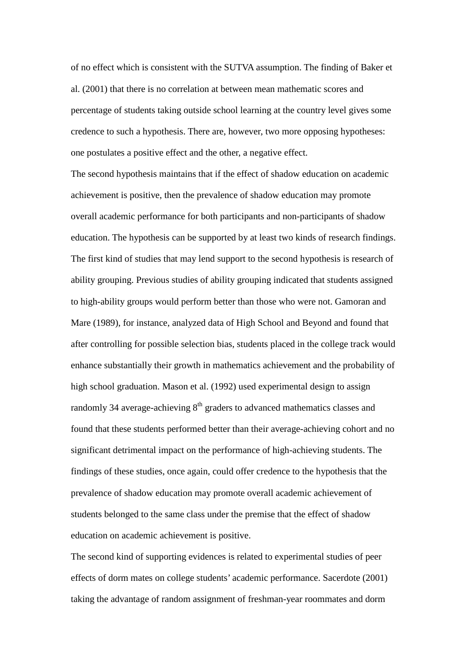of no effect which is consistent with the SUTVA assumption. The finding of Baker et al. (2001) that there is no correlation at between mean mathematic scores and percentage of students taking outside school learning at the country level gives some credence to such a hypothesis. There are, however, two more opposing hypotheses: one postulates a positive effect and the other, a negative effect.

The second hypothesis maintains that if the effect of shadow education on academic achievement is positive, then the prevalence of shadow education may promote overall academic performance for both participants and non-participants of shadow education. The hypothesis can be supported by at least two kinds of research findings. The first kind of studies that may lend support to the second hypothesis is research of ability grouping. Previous studies of ability grouping indicated that students assigned to high-ability groups would perform better than those who were not. Gamoran and Mare (1989), for instance, analyzed data of High School and Beyond and found that after controlling for possible selection bias, students placed in the college track would enhance substantially their growth in mathematics achievement and the probability of high school graduation. Mason et al. (1992) used experimental design to assign randomly 34 average-achieving  $8<sup>th</sup>$  graders to advanced mathematics classes and found that these students performed better than their average-achieving cohort and no significant detrimental impact on the performance of high-achieving students. The findings of these studies, once again, could offer credence to the hypothesis that the prevalence of shadow education may promote overall academic achievement of students belonged to the same class under the premise that the effect of shadow education on academic achievement is positive.

The second kind of supporting evidences is related to experimental studies of peer effects of dorm mates on college students' academic performance. Sacerdote (2001) taking the advantage of random assignment of freshman-year roommates and dorm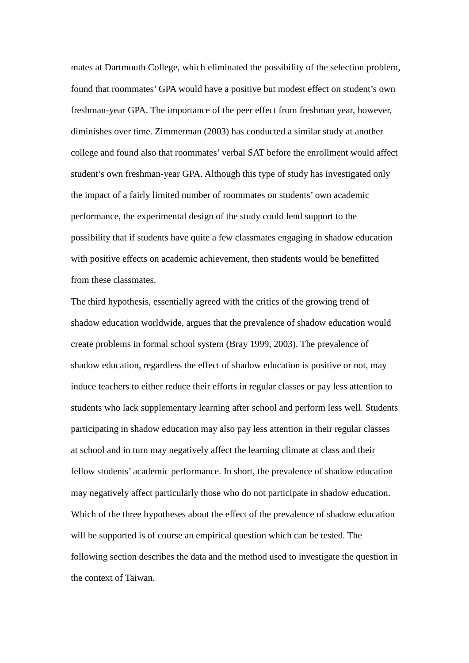mates at Dartmouth College, which eliminated the possibility of the selection problem, found that roommates' GPA would have a positive but modest effect on student's own freshman-year GPA. The importance of the peer effect from freshman year, however, diminishes over time. Zimmerman (2003) has conducted a similar study at another college and found also that roommates' verbal SAT before the enrollment would affect student's own freshman-year GPA. Although this type of study has investigated only the impact of a fairly limited number of roommates on students' own academic performance, the experimental design of the study could lend support to the possibility that if students have quite a few classmates engaging in shadow education with positive effects on academic achievement, then students would be benefitted from these classmates.

The third hypothesis, essentially agreed with the critics of the growing trend of shadow education worldwide, argues that the prevalence of shadow education would create problems in formal school system (Bray 1999, 2003). The prevalence of shadow education, regardless the effect of shadow education is positive or not, may induce teachers to either reduce their efforts in regular classes or pay less attention to students who lack supplementary learning after school and perform less well. Students participating in shadow education may also pay less attention in their regular classes at school and in turn may negatively affect the learning climate at class and their fellow students' academic performance. In short, the prevalence of shadow education may negatively affect particularly those who do not participate in shadow education. Which of the three hypotheses about the effect of the prevalence of shadow education will be supported is of course an empirical question which can be tested. The following section describes the data and the method used to investigate the question in the context of Taiwan.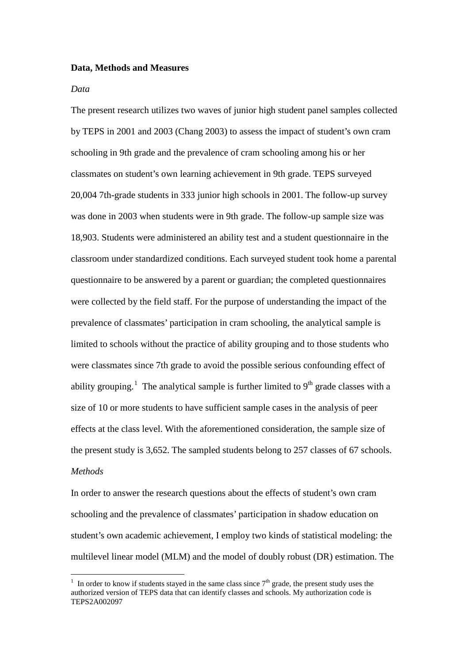## **Data, Methods and Measures**

#### *Data*

The present research utilizes two waves of junior high student panel samples collected by TEPS in 2001 and 2003 (Chang 2003) to assess the impact of student's own cram schooling in 9th grade and the prevalence of cram schooling among his or her classmates on student's own learning achievement in 9th grade. TEPS surveyed 20,004 7th-grade students in 333 junior high schools in 2001. The follow-up survey was done in 2003 when students were in 9th grade. The follow-up sample size was 18,903. Students were administered an ability test and a student questionnaire in the classroom under standardized conditions. Each surveyed student took home a parental questionnaire to be answered by a parent or guardian; the completed questionnaires were collected by the field staff. For the purpose of understanding the impact of the prevalence of classmates' participation in cram schooling, the analytical sample is limited to schools without the practice of ability grouping and to those students who were classmates since 7th grade to avoid the possible serious confounding effect of ability grouping.<sup>[1](#page-10-0)</sup> The analytical sample is further limited to  $9<sup>th</sup>$  grade classes with a size of 10 or more students to have sufficient sample cases in the analysis of peer effects at the class level. With the aforementioned consideration, the sample size of the present study is 3,652. The sampled students belong to 257 classes of 67 schools. *Methods*

In order to answer the research questions about the effects of student's own cram schooling and the prevalence of classmates' participation in shadow education on student's own academic achievement, I employ two kinds of statistical modeling: the multilevel linear model (MLM) and the model of doubly robust (DR) estimation. The

<span id="page-10-0"></span><sup>&</sup>lt;sup>1</sup> In order to know if students stayed in the same class since  $7<sup>th</sup>$  grade, the present study uses the authorized version of TEPS data that can identify classes and schools. My authorization code is TEPS2A002097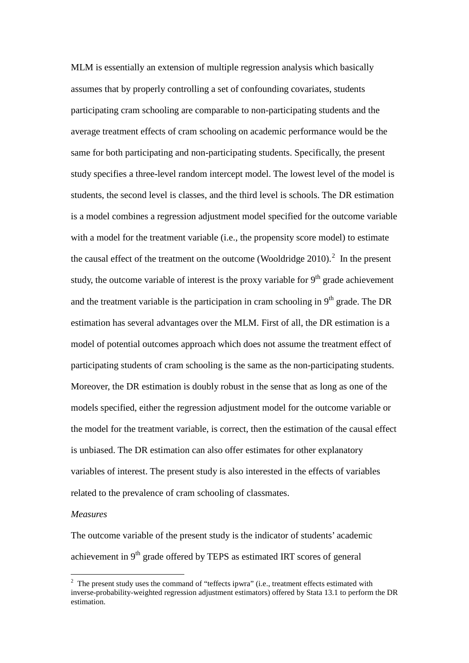MLM is essentially an extension of multiple regression analysis which basically assumes that by properly controlling a set of confounding covariates, students participating cram schooling are comparable to non-participating students and the average treatment effects of cram schooling on academic performance would be the same for both participating and non-participating students. Specifically, the present study specifies a three-level random intercept model. The lowest level of the model is students, the second level is classes, and the third level is schools. The DR estimation is a model combines a regression adjustment model specified for the outcome variable with a model for the treatment variable (i.e., the propensity score model) to estimate the causal effect of the treatment on the outcome (Wooldridge [2](#page-11-0)010).<sup>2</sup> In the present study, the outcome variable of interest is the proxy variable for  $9<sup>th</sup>$  grade achievement and the treatment variable is the participation in cram schooling in  $9<sup>th</sup>$  grade. The DR estimation has several advantages over the MLM. First of all, the DR estimation is a model of potential outcomes approach which does not assume the treatment effect of participating students of cram schooling is the same as the non-participating students. Moreover, the DR estimation is doubly robust in the sense that as long as one of the models specified, either the regression adjustment model for the outcome variable or the model for the treatment variable, is correct, then the estimation of the causal effect is unbiased. The DR estimation can also offer estimates for other explanatory variables of interest. The present study is also interested in the effects of variables related to the prevalence of cram schooling of classmates.

# *Measures*

The outcome variable of the present study is the indicator of students' academic achievement in  $9<sup>th</sup>$  grade offered by TEPS as estimated IRT scores of general

<span id="page-11-0"></span><sup>&</sup>lt;sup>2</sup> The present study uses the command of "teffects ipwra" (i.e., treatment effects estimated with inverse-probability-weighted regression adjustment estimators) offered by Stata 13.1 to perform the DR estimation.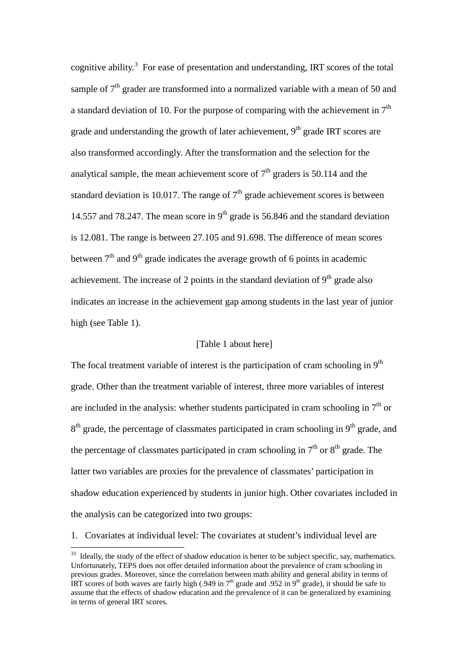cognitive ability. [3](#page-12-0) For ease of presentation and understanding, IRT scores of the total sample of  $7<sup>th</sup>$  grader are transformed into a normalized variable with a mean of 50 and a standard deviation of 10. For the purpose of comparing with the achievement in  $7<sup>th</sup>$ grade and understanding the growth of later achievement,  $9<sup>th</sup>$  grade IRT scores are also transformed accordingly. After the transformation and the selection for the analytical sample, the mean achievement score of  $7<sup>th</sup>$  graders is 50.114 and the standard deviation is 10.017. The range of  $7<sup>th</sup>$  grade achievement scores is between 14.557 and 78.247. The mean score in  $9<sup>th</sup>$  grade is 56.846 and the standard deviation is 12.081. The range is between 27.105 and 91.698. The difference of mean scores between  $7<sup>th</sup>$  and  $9<sup>th</sup>$  grade indicates the average growth of 6 points in academic achievement. The increase of 2 points in the standard deviation of  $9<sup>th</sup>$  grade also indicates an increase in the achievement gap among students in the last year of junior high (see Table 1).

# [Table 1 about here]

The focal treatment variable of interest is the participation of cram schooling in  $9<sup>th</sup>$ grade. Other than the treatment variable of interest, three more variables of interest are included in the analysis: whether students participated in cram schooling in  $7<sup>th</sup>$  or  $8<sup>th</sup>$  grade, the percentage of classmates participated in cram schooling in 9<sup>th</sup> grade, and the percentage of classmates participated in cram schooling in  $7<sup>th</sup>$  or  $8<sup>th</sup>$  grade. The latter two variables are proxies for the prevalence of classmates' participation in shadow education experienced by students in junior high. Other covariates included in the analysis can be categorized into two groups:

1. Covariates at individual level: The covariates at student's individual level are

<span id="page-12-0"></span><sup>&</sup>lt;sup>33</sup> Ideally, the study of the effect of shadow education is better to be subject specific, say, mathematics. Unfortunately, TEPS does not offer detailed information about the prevalence of cram schooling in previous grades. Moreover, since the correlation between math ability and general ability in terms of IRT scores of both waves are fairly high (.949 in  $7<sup>th</sup>$  grade and .952 in 9<sup>th</sup> grade), it should be safe to assume that the effects of shadow education and the prevalence of it can be generalized by examining in terms of general IRT scores.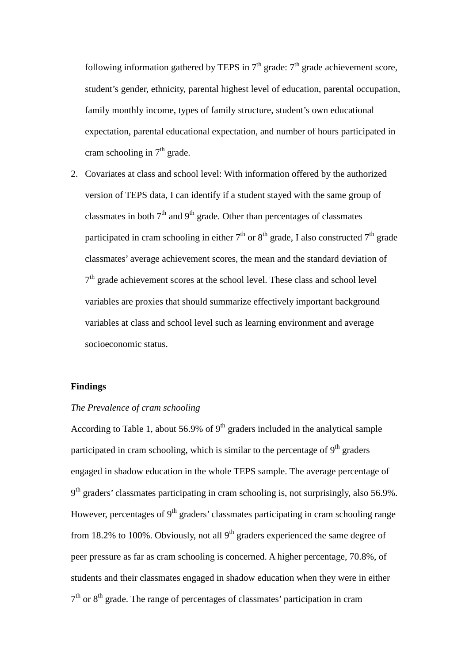following information gathered by TEPS in  $7<sup>th</sup>$  grade:  $7<sup>th</sup>$  grade achievement score, student's gender, ethnicity, parental highest level of education, parental occupation, family monthly income, types of family structure, student's own educational expectation, parental educational expectation, and number of hours participated in cram schooling in  $7<sup>th</sup>$  grade.

2. Covariates at class and school level: With information offered by the authorized version of TEPS data, I can identify if a student stayed with the same group of classmates in both  $7<sup>th</sup>$  and  $9<sup>th</sup>$  grade. Other than percentages of classmates participated in cram schooling in either  $7<sup>th</sup>$  or  $8<sup>th</sup>$  grade, I also constructed  $7<sup>th</sup>$  grade classmates' average achievement scores, the mean and the standard deviation of  $7<sup>th</sup>$  grade achievement scores at the school level. These class and school level variables are proxies that should summarize effectively important background variables at class and school level such as learning environment and average socioeconomic status.

## **Findings**

### *The Prevalence of cram schooling*

According to Table 1, about 56.9% of  $9<sup>th</sup>$  graders included in the analytical sample participated in cram schooling, which is similar to the percentage of  $9<sup>th</sup>$  graders engaged in shadow education in the whole TEPS sample. The average percentage of  $9<sup>th</sup>$  graders' classmates participating in cram schooling is, not surprisingly, also 56.9%. However, percentages of  $9<sup>th</sup>$  graders' classmates participating in cram schooling range from 18.2% to 100%. Obviously, not all  $9<sup>th</sup>$  graders experienced the same degree of peer pressure as far as cram schooling is concerned. A higher percentage, 70.8%, of students and their classmates engaged in shadow education when they were in either  $7<sup>th</sup>$  or  $8<sup>th</sup>$  grade. The range of percentages of classmates' participation in cram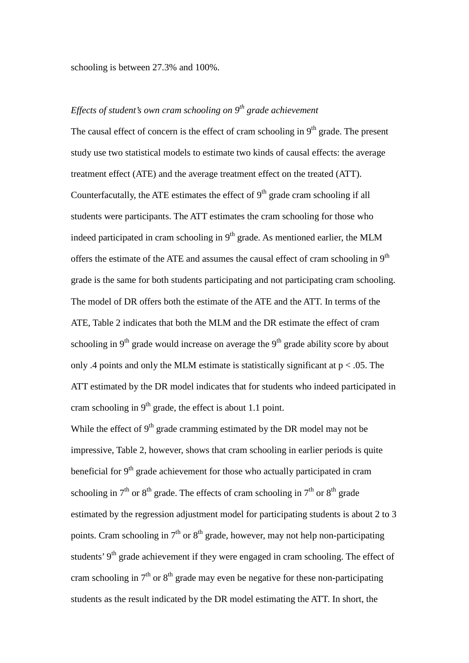schooling is between 27.3% and 100%.

# *Effects of student's own cram schooling on 9th grade achievement*

The causal effect of concern is the effect of cram schooling in  $9<sup>th</sup>$  grade. The present study use two statistical models to estimate two kinds of causal effects: the average treatment effect (ATE) and the average treatment effect on the treated (ATT). Counterfacutally, the ATE estimates the effect of  $9<sup>th</sup>$  grade cram schooling if all students were participants. The ATT estimates the cram schooling for those who indeed participated in cram schooling in  $9<sup>th</sup>$  grade. As mentioned earlier, the MLM offers the estimate of the ATE and assumes the causal effect of cram schooling in  $9<sup>th</sup>$ grade is the same for both students participating and not participating cram schooling. The model of DR offers both the estimate of the ATE and the ATT. In terms of the ATE, Table 2 indicates that both the MLM and the DR estimate the effect of cram schooling in  $9<sup>th</sup>$  grade would increase on average the  $9<sup>th</sup>$  grade ability score by about only .4 points and only the MLM estimate is statistically significant at  $p < .05$ . The ATT estimated by the DR model indicates that for students who indeed participated in cram schooling in  $9<sup>th</sup>$  grade, the effect is about 1.1 point.

While the effect of  $9<sup>th</sup>$  grade cramming estimated by the DR model may not be impressive, Table 2, however, shows that cram schooling in earlier periods is quite beneficial for  $9<sup>th</sup>$  grade achievement for those who actually participated in cram schooling in  $7<sup>th</sup>$  or  $8<sup>th</sup>$  grade. The effects of cram schooling in  $7<sup>th</sup>$  or  $8<sup>th</sup>$  grade estimated by the regression adjustment model for participating students is about 2 to 3 points. Cram schooling in  $7<sup>th</sup>$  or  $8<sup>th</sup>$  grade, however, may not help non-participating students' 9<sup>th</sup> grade achievement if they were engaged in cram schooling. The effect of cram schooling in  $7<sup>th</sup>$  or  $8<sup>th</sup>$  grade may even be negative for these non-participating students as the result indicated by the DR model estimating the ATT. In short, the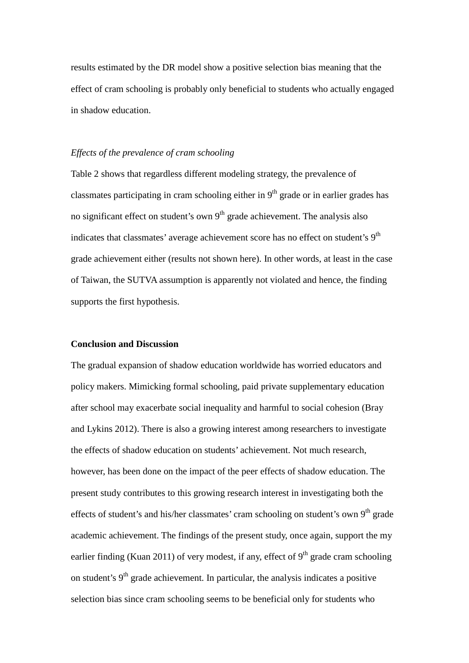results estimated by the DR model show a positive selection bias meaning that the effect of cram schooling is probably only beneficial to students who actually engaged in shadow education.

## *Effects of the prevalence of cram schooling*

Table 2 shows that regardless different modeling strategy, the prevalence of classmates participating in cram schooling either in  $9<sup>th</sup>$  grade or in earlier grades has no significant effect on student's own  $9<sup>th</sup>$  grade achievement. The analysis also indicates that classmates' average achievement score has no effect on student's  $9<sup>th</sup>$ grade achievement either (results not shown here). In other words, at least in the case of Taiwan, the SUTVA assumption is apparently not violated and hence, the finding supports the first hypothesis.

# **Conclusion and Discussion**

The gradual expansion of shadow education worldwide has worried educators and policy makers. Mimicking formal schooling, paid private supplementary education after school may exacerbate social inequality and harmful to social cohesion (Bray and Lykins 2012). There is also a growing interest among researchers to investigate the effects of shadow education on students' achievement. Not much research, however, has been done on the impact of the peer effects of shadow education. The present study contributes to this growing research interest in investigating both the effects of student's and his/her classmates' cram schooling on student's own  $9<sup>th</sup>$  grade academic achievement. The findings of the present study, once again, support the my earlier finding (Kuan 2011) of very modest, if any, effect of  $9<sup>th</sup>$  grade cram schooling on student's  $9<sup>th</sup>$  grade achievement. In particular, the analysis indicates a positive selection bias since cram schooling seems to be beneficial only for students who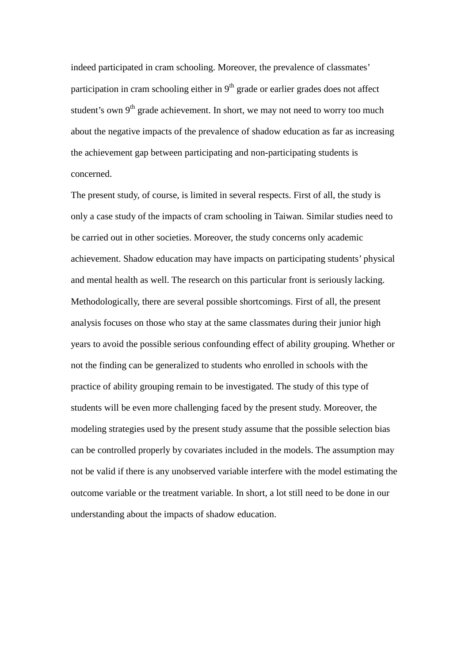indeed participated in cram schooling. Moreover, the prevalence of classmates' participation in cram schooling either in  $9<sup>th</sup>$  grade or earlier grades does not affect student's own  $9<sup>th</sup>$  grade achievement. In short, we may not need to worry too much about the negative impacts of the prevalence of shadow education as far as increasing the achievement gap between participating and non-participating students is concerned.

The present study, of course, is limited in several respects. First of all, the study is only a case study of the impacts of cram schooling in Taiwan. Similar studies need to be carried out in other societies. Moreover, the study concerns only academic achievement. Shadow education may have impacts on participating students' physical and mental health as well. The research on this particular front is seriously lacking. Methodologically, there are several possible shortcomings. First of all, the present analysis focuses on those who stay at the same classmates during their junior high years to avoid the possible serious confounding effect of ability grouping. Whether or not the finding can be generalized to students who enrolled in schools with the practice of ability grouping remain to be investigated. The study of this type of students will be even more challenging faced by the present study. Moreover, the modeling strategies used by the present study assume that the possible selection bias can be controlled properly by covariates included in the models. The assumption may not be valid if there is any unobserved variable interfere with the model estimating the outcome variable or the treatment variable. In short, a lot still need to be done in our understanding about the impacts of shadow education.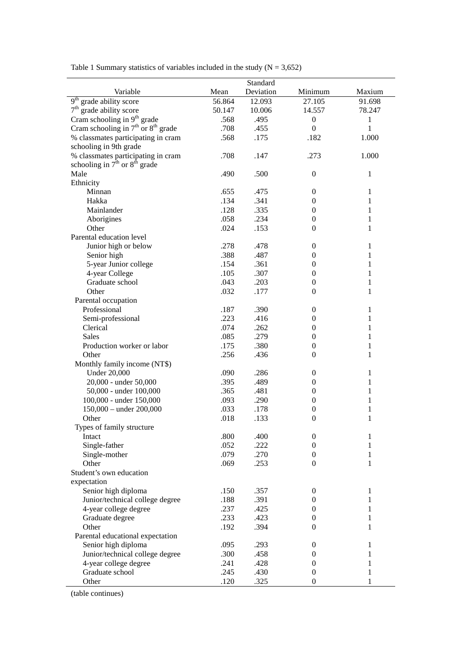| Deviation<br>Variable<br>Mean<br>Minimum<br>Maxium<br>9 <sup>th</sup> grade ability score<br>56.864<br>12.093<br>27.105<br>91.698<br>$7th$ grade ability score<br>10.006<br>14.557<br>50.147<br>78.247<br>Cram schooling in 9 <sup>th</sup> grade<br>.568<br>.495<br>$\boldsymbol{0}$<br>$\mathbf{1}$<br>Cram schooling in $7th$ or $8th$ grade<br>$\mathbf{1}$<br>.708<br>.455<br>$\boldsymbol{0}$<br>% classmates participating in cram<br>.568<br>.175<br>.182<br>1.000<br>schooling in 9th grade<br>% classmates participating in cram<br>.708<br>.147<br>.273<br>1.000 |  |
|-----------------------------------------------------------------------------------------------------------------------------------------------------------------------------------------------------------------------------------------------------------------------------------------------------------------------------------------------------------------------------------------------------------------------------------------------------------------------------------------------------------------------------------------------------------------------------|--|
|                                                                                                                                                                                                                                                                                                                                                                                                                                                                                                                                                                             |  |
|                                                                                                                                                                                                                                                                                                                                                                                                                                                                                                                                                                             |  |
|                                                                                                                                                                                                                                                                                                                                                                                                                                                                                                                                                                             |  |
|                                                                                                                                                                                                                                                                                                                                                                                                                                                                                                                                                                             |  |
|                                                                                                                                                                                                                                                                                                                                                                                                                                                                                                                                                                             |  |
|                                                                                                                                                                                                                                                                                                                                                                                                                                                                                                                                                                             |  |
|                                                                                                                                                                                                                                                                                                                                                                                                                                                                                                                                                                             |  |
|                                                                                                                                                                                                                                                                                                                                                                                                                                                                                                                                                                             |  |
| schooling in $7^{\text{th}}$ or $8^{\text{th}}$ grade                                                                                                                                                                                                                                                                                                                                                                                                                                                                                                                       |  |
| Male<br>.490<br>.500<br>$\boldsymbol{0}$<br>1                                                                                                                                                                                                                                                                                                                                                                                                                                                                                                                               |  |
| Ethnicity                                                                                                                                                                                                                                                                                                                                                                                                                                                                                                                                                                   |  |
| .655<br>.475<br>Minnan<br>$\boldsymbol{0}$<br>$\mathbf{1}$                                                                                                                                                                                                                                                                                                                                                                                                                                                                                                                  |  |
| .134<br>.341<br>Hakka<br>$\boldsymbol{0}$<br>1                                                                                                                                                                                                                                                                                                                                                                                                                                                                                                                              |  |
| Mainlander<br>.128<br>.335<br>$\theta$<br>1                                                                                                                                                                                                                                                                                                                                                                                                                                                                                                                                 |  |
| Aborigines<br>.058<br>.234<br>$\boldsymbol{0}$<br>1                                                                                                                                                                                                                                                                                                                                                                                                                                                                                                                         |  |
| Other<br>.024<br>.153<br>$\mathbf{1}$<br>$\theta$                                                                                                                                                                                                                                                                                                                                                                                                                                                                                                                           |  |
| Parental education level                                                                                                                                                                                                                                                                                                                                                                                                                                                                                                                                                    |  |
| Junior high or below<br>.278<br>.478<br>$\boldsymbol{0}$<br>$\mathbf{1}$                                                                                                                                                                                                                                                                                                                                                                                                                                                                                                    |  |
| .388<br>.487                                                                                                                                                                                                                                                                                                                                                                                                                                                                                                                                                                |  |
| Senior high<br>$\mathbf{1}$<br>$\boldsymbol{0}$                                                                                                                                                                                                                                                                                                                                                                                                                                                                                                                             |  |
| 5-year Junior college<br>.361<br>.154<br>$\theta$<br>1                                                                                                                                                                                                                                                                                                                                                                                                                                                                                                                      |  |
| 4-year College<br>.105<br>.307<br>$\boldsymbol{0}$<br>1                                                                                                                                                                                                                                                                                                                                                                                                                                                                                                                     |  |
| Graduate school<br>.043<br>.203<br>$\boldsymbol{0}$<br>1                                                                                                                                                                                                                                                                                                                                                                                                                                                                                                                    |  |
| Other<br>.032<br>.177<br>$\boldsymbol{0}$<br>$\mathbf{1}$                                                                                                                                                                                                                                                                                                                                                                                                                                                                                                                   |  |
| Parental occupation                                                                                                                                                                                                                                                                                                                                                                                                                                                                                                                                                         |  |
| Professional<br>.187<br>.390<br>1<br>$\boldsymbol{0}$                                                                                                                                                                                                                                                                                                                                                                                                                                                                                                                       |  |
| .223<br>Semi-professional<br>.416<br>1<br>0                                                                                                                                                                                                                                                                                                                                                                                                                                                                                                                                 |  |
| Clerical<br>.074<br>.262<br>$\boldsymbol{0}$<br>1                                                                                                                                                                                                                                                                                                                                                                                                                                                                                                                           |  |
| .085<br>.279<br>$\mathbf{1}$<br><b>Sales</b><br>$\boldsymbol{0}$                                                                                                                                                                                                                                                                                                                                                                                                                                                                                                            |  |
| Production worker or labor<br>.175<br>.380<br>$\mathbf{1}$<br>$\boldsymbol{0}$                                                                                                                                                                                                                                                                                                                                                                                                                                                                                              |  |
| Other<br>.256<br>.436<br>$\mathbf{1}$<br>$\boldsymbol{0}$                                                                                                                                                                                                                                                                                                                                                                                                                                                                                                                   |  |
| Monthly family income (NT\$)                                                                                                                                                                                                                                                                                                                                                                                                                                                                                                                                                |  |
| <b>Under 20,000</b><br>.090<br>.286<br>$\boldsymbol{0}$<br>$\mathbf{1}$                                                                                                                                                                                                                                                                                                                                                                                                                                                                                                     |  |
| 20,000 - under 50,000<br>.395<br>.489<br>$\boldsymbol{0}$<br>1                                                                                                                                                                                                                                                                                                                                                                                                                                                                                                              |  |
| 50,000 - under 100,000<br>.365<br>.481<br>$\boldsymbol{0}$<br>1                                                                                                                                                                                                                                                                                                                                                                                                                                                                                                             |  |
| 100,000 - under 150,000<br>.093<br>.290<br>$\boldsymbol{0}$<br>$\mathbf{1}$                                                                                                                                                                                                                                                                                                                                                                                                                                                                                                 |  |
| 150,000 - under 200,000<br>.033<br>.178<br>1<br>$\boldsymbol{0}$                                                                                                                                                                                                                                                                                                                                                                                                                                                                                                            |  |
| Other<br>$\mathbf{1}$<br>.018<br>.133<br>$\boldsymbol{0}$                                                                                                                                                                                                                                                                                                                                                                                                                                                                                                                   |  |
| Types of family structure                                                                                                                                                                                                                                                                                                                                                                                                                                                                                                                                                   |  |
| .800<br>.400<br>$\boldsymbol{0}$<br>1<br>Intact                                                                                                                                                                                                                                                                                                                                                                                                                                                                                                                             |  |
| Single-father<br>.052<br>.222<br>1<br>$\boldsymbol{0}$                                                                                                                                                                                                                                                                                                                                                                                                                                                                                                                      |  |
| Single-mother<br>.079<br>.270<br>$\boldsymbol{0}$<br>1                                                                                                                                                                                                                                                                                                                                                                                                                                                                                                                      |  |
| Other<br>.253<br>.069<br>$\boldsymbol{0}$<br>1                                                                                                                                                                                                                                                                                                                                                                                                                                                                                                                              |  |
| Student's own education                                                                                                                                                                                                                                                                                                                                                                                                                                                                                                                                                     |  |
| expectation                                                                                                                                                                                                                                                                                                                                                                                                                                                                                                                                                                 |  |
| Senior high diploma<br>.150<br>.357<br>$\boldsymbol{0}$<br>$\mathbf{1}$                                                                                                                                                                                                                                                                                                                                                                                                                                                                                                     |  |
| .391<br>Junior/technical college degree<br>.188<br>$\mathbf{1}$<br>$\boldsymbol{0}$                                                                                                                                                                                                                                                                                                                                                                                                                                                                                         |  |
| 4-year college degree<br>.237<br>.425<br>$\boldsymbol{0}$<br>1                                                                                                                                                                                                                                                                                                                                                                                                                                                                                                              |  |
| .423<br>Graduate degree<br>.233<br>$\boldsymbol{0}$<br>1                                                                                                                                                                                                                                                                                                                                                                                                                                                                                                                    |  |
| .394<br>Other<br>.192<br>1<br>$\boldsymbol{0}$                                                                                                                                                                                                                                                                                                                                                                                                                                                                                                                              |  |
| Parental educational expectation                                                                                                                                                                                                                                                                                                                                                                                                                                                                                                                                            |  |
| Senior high diploma<br>.095<br>.293<br>$\boldsymbol{0}$<br>1                                                                                                                                                                                                                                                                                                                                                                                                                                                                                                                |  |
| Junior/technical college degree<br>.300<br>.458<br>1<br>$\boldsymbol{0}$                                                                                                                                                                                                                                                                                                                                                                                                                                                                                                    |  |
| 4-year college degree<br>.428<br>.241<br>1<br>$\boldsymbol{0}$                                                                                                                                                                                                                                                                                                                                                                                                                                                                                                              |  |
| .245<br>Graduate school<br>.430<br>1<br>$\boldsymbol{0}$                                                                                                                                                                                                                                                                                                                                                                                                                                                                                                                    |  |
| .325<br>Other<br>.120<br>$\boldsymbol{0}$<br>1                                                                                                                                                                                                                                                                                                                                                                                                                                                                                                                              |  |

Table 1 Summary statistics of variables included in the study  $(N = 3,652)$ 

(table continues)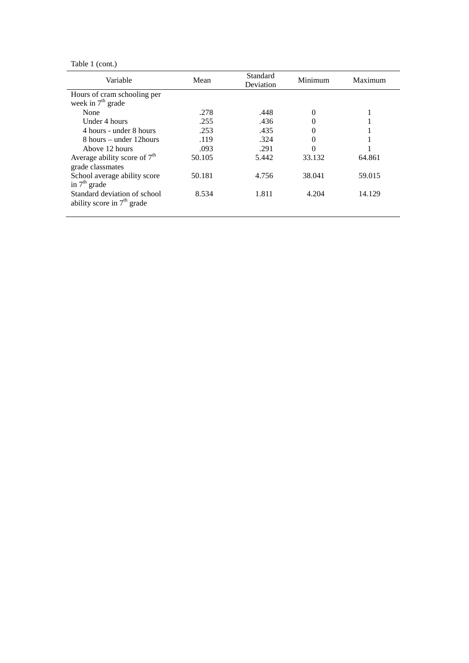Table 1 (cont.)

| Variable                       | Mean   | Standard<br>Deviation | Minimum  | Maximum |
|--------------------------------|--------|-----------------------|----------|---------|
| Hours of cram schooling per    |        |                       |          |         |
| week in $7th$ grade            |        |                       |          |         |
| None                           | .278   | .448                  | $\Omega$ |         |
| Under 4 hours                  | .255   | .436                  | $\theta$ |         |
| 4 hours - under 8 hours        | .253   | .435                  |          |         |
| 8 hours – under 12 hours       | .119   | .324                  | $\theta$ |         |
| Above 12 hours                 | .093   | .291                  | 0        |         |
| Average ability score of $7th$ | 50.105 | 5.442                 | 33.132   | 64.861  |
| grade classmates               |        |                       |          |         |
| School average ability score   | 50.181 | 4.756                 | 38.041   | 59.015  |
| in $7th$ grade                 |        |                       |          |         |
| Standard deviation of school   | 8.534  | 1.811                 | 4.204    | 14.129  |
| ability score in $7th$ grade   |        |                       |          |         |
|                                |        |                       |          |         |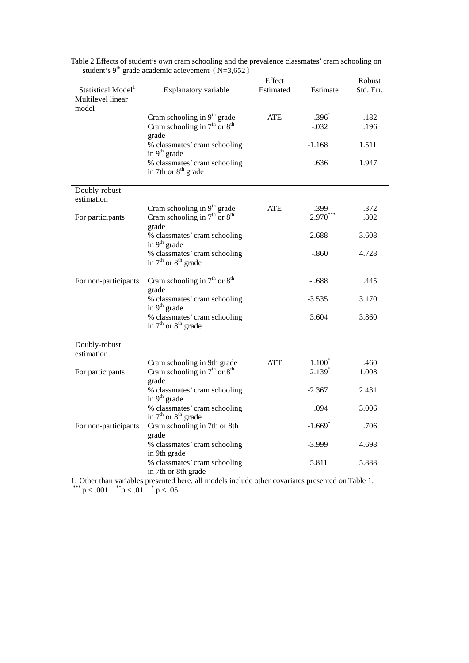|                                | grade academic acievement $(18-3,032)$                                     | Effect     |                       | Robust    |
|--------------------------------|----------------------------------------------------------------------------|------------|-----------------------|-----------|
| Statistical Model <sup>1</sup> | Explanatory variable                                                       | Estimated  | Estimate              | Std. Err. |
| Multilevel linear<br>model     |                                                                            |            |                       |           |
|                                |                                                                            | <b>ATE</b> | $.396*$               | .182      |
|                                | Cram schooling in $9^{th}$ grade<br>Cram schooling in $7^{th}$ or $8^{th}$ |            | $-.032$               | .196      |
|                                | grade                                                                      |            |                       |           |
|                                | % classmates' cram schooling<br>in 9 <sup>th</sup> grade                   |            | $-1.168$              | 1.511     |
|                                | % classmates' cram schooling<br>in 7th or 8 <sup>th</sup> grade            |            | .636                  | 1.947     |
| Doubly-robust<br>estimation    |                                                                            |            |                       |           |
|                                |                                                                            | ATE        | .399                  | .372      |
| For participants               | Cram schooling in $9th$ grade<br>Cram schooling in $7th$ or $8th$          |            | $2.970^{^{\circ}}$    | .802      |
|                                | grade                                                                      |            |                       |           |
|                                | % classmates' cram schooling<br>in 9 <sup>th</sup> grade                   |            | $-2.688$              | 3.608     |
|                                | % classmates' cram schooling<br>in $7th$ or $8th$ grade                    |            | $-.860$               | 4.728     |
| For non-participants           | Cram schooling in $7th$ or $8th$<br>grade                                  |            | $-.688$               | .445      |
|                                | % classmates' cram schooling<br>in $9th$ grade                             |            | $-3.535$              | 3.170     |
|                                | % classmates' cram schooling<br>in $7th$ or $8th$ grade                    |            | 3.604                 | 3.860     |
| Doubly-robust                  |                                                                            |            |                       |           |
| estimation                     |                                                                            |            |                       |           |
|                                | Cram schooling in 9th grade                                                | <b>ATT</b> | $1.100^*$             | .460      |
| For participants               | Cram schooling in $7th$ or $8th$                                           |            | $2.139*$              | 1.008     |
|                                | grade<br>% classmates' cram schooling                                      |            | $-2.367$              | 2.431     |
|                                | in 9 <sup>th</sup> grade<br>% classmates' cram schooling                   |            | .094                  | 3.006     |
|                                | in $7th$ or $8th$ grade                                                    |            |                       |           |
| For non-participants           | Cram schooling in 7th or 8th<br>grade                                      |            | $-1.669$ <sup>*</sup> | .706      |
|                                | % classmates' cram schooling                                               |            | $-3.999$              | 4.698     |
|                                | in 9th grade<br>% classmates' cram schooling                               |            | 5.811                 | 5.888     |
|                                | in 7th or 8th grade                                                        |            |                       |           |

Table 2 Effects of student's own cram schooling and the prevalence classmates' cram schooling on student's 9<sup>th</sup> grade academic acievement (N=3,652)

1. Other than variables presented here, all models include other covariates presented on Table 1. \*\*\*  $p < .001$  \*  $p < .05$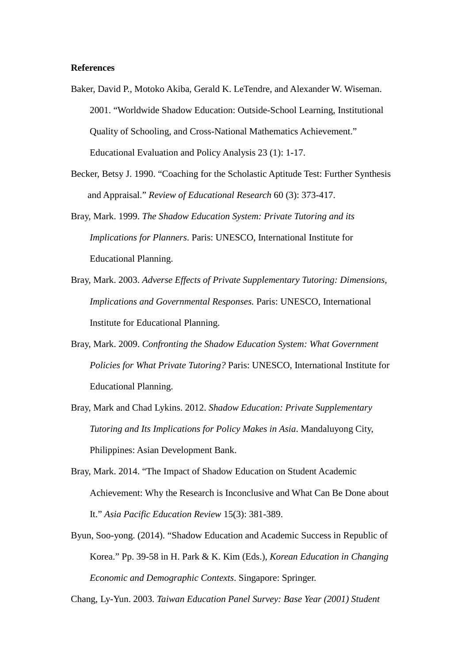## **References**

- Baker, David P., Motoko Akiba, Gerald K. LeTendre, and Alexander W. Wiseman. 2001. "Worldwide Shadow Education: Outside-School Learning, Institutional Quality of Schooling, and Cross-National Mathematics Achievement." Educational Evaluation and Policy Analysis 23 (1): 1-17.
- Becker, Betsy J. 1990. "Coaching for the Scholastic Aptitude Test: Further Synthesis and Appraisal." *Review of Educational Research* 60 (3): 373-417.
- Bray, Mark. 1999. *The Shadow Education System: Private Tutoring and its Implications for Planners*. Paris: UNESCO, International Institute for Educational Planning.
- Bray, Mark. 2003. *Adverse Effects of Private Supplementary Tutoring: Dimensions, Implications and Governmental Responses.* Paris: UNESCO, International Institute for Educational Planning.
- Bray, Mark. 2009. *Confronting the Shadow Education System: What Government Policies for What Private Tutoring?* Paris: UNESCO, International Institute for Educational Planning.
- Bray, Mark and Chad Lykins. 2012. *Shadow Education: Private Supplementary Tutoring and Its Implications for Policy Makes in Asia*. Mandaluyong City, Philippines: Asian Development Bank.
- Bray, Mark. 2014. "The Impact of Shadow Education on Student Academic Achievement: Why the Research is Inconclusive and What Can Be Done about It." *Asia Pacific Education Review* 15(3): 381-389.
- Byun, Soo-yong. (2014). "Shadow Education and Academic Success in Republic of Korea." Pp. 39-58 in H. Park & K. Kim (Eds.), *Korean Education in Changing Economic and Demographic Contexts*. Singapore: Springer.

Chang, Ly-Yun. 2003. *Taiwan Education Panel Survey: Base Year (2001) Student*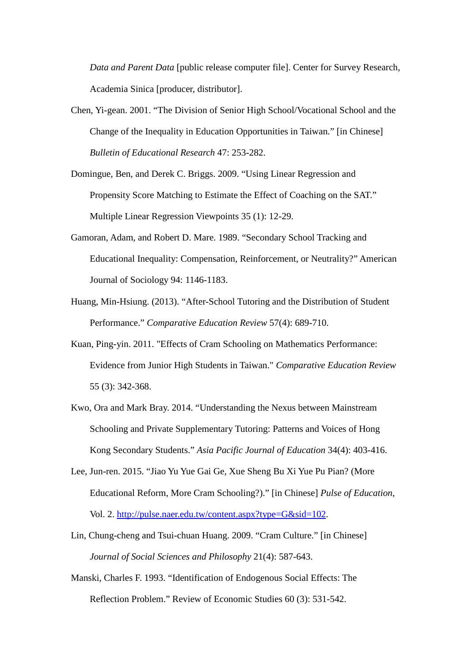*Data and Parent Data* [public release computer file]. Center for Survey Research, Academia Sinica [producer, distributor].

- Chen, Yi-gean. 2001. "The Division of Senior High School/Vocational School and the Change of the Inequality in Education Opportunities in Taiwan." [in Chinese] *Bulletin of Educational Research* 47: 253-282.
- Domingue, Ben, and Derek C. Briggs. 2009. "Using Linear Regression and Propensity Score Matching to Estimate the Effect of Coaching on the SAT." Multiple Linear Regression Viewpoints 35 (1): 12-29.
- Gamoran, Adam, and Robert D. Mare. 1989. "Secondary School Tracking and Educational Inequality: Compensation, Reinforcement, or Neutrality?" American Journal of Sociology 94: 1146-1183.
- Huang, Min-Hsiung. (2013). "After-School Tutoring and the Distribution of Student Performance." *Comparative Education Review* 57(4): 689-710.
- Kuan, Ping-yin. 2011. "Effects of Cram Schooling on Mathematics Performance: Evidence from Junior High Students in Taiwan." *Comparative Education Review* 55 (3): 342-368.
- Kwo, Ora and Mark Bray. 2014. "Understanding the Nexus between Mainstream Schooling and Private Supplementary Tutoring: Patterns and Voices of Hong Kong Secondary Students." *Asia Pacific Journal of Education* 34(4): 403-416.
- Lee, Jun-ren. 2015. "Jiao Yu Yue Gai Ge, Xue Sheng Bu Xi Yue Pu Pian? (More Educational Reform, More Cram Schooling?)." [in Chinese] *Pulse of Education*, Vol. 2. [http://pulse.naer.edu.tw/content.aspx?type=G&sid=102.](http://pulse.naer.edu.tw/content.aspx?type=G&sid=102)
- Lin, Chung-cheng and Tsui-chuan Huang. 2009. "Cram Culture." [in Chinese] *Journal of Social Sciences and Philosophy* 21(4): 587-643.
- Manski, Charles F. 1993. "Identification of Endogenous Social Effects: The Reflection Problem." Review of Economic Studies 60 (3): 531-542.